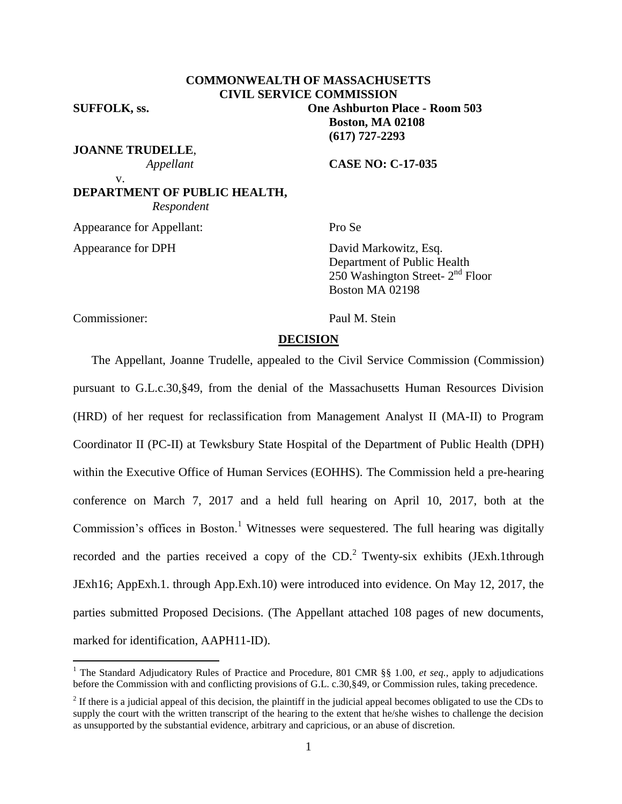# **COMMONWEALTH OF MASSACHUSETTS CIVIL SERVICE COMMISSION**

**SUFFOLK, ss. One Ashburton Place - Room 503**

**JOANNE TRUDELLE**,

 *Appellant* **CASE NO: C-17-035**

**Boston, MA 02108 (617) 727-2293**

**DEPARTMENT OF PUBLIC HEALTH,**  *Respondent*

Appearance for Appellant: Pro Se

v.

Appearance for DPH David Markowitz, Esq. Department of Public Health  $250$  Washington Street-  $2<sup>nd</sup>$  Floor Boston MA 02198

Commissioner: Paul M. Stein

 $\overline{a}$ 

# **DECISION**

The Appellant, Joanne Trudelle, appealed to the Civil Service Commission (Commission) pursuant to G.L.c.30,§49, from the denial of the Massachusetts Human Resources Division (HRD) of her request for reclassification from Management Analyst II (MA-II) to Program Coordinator II (PC-II) at Tewksbury State Hospital of the Department of Public Health (DPH) within the Executive Office of Human Services (EOHHS). The Commission held a pre-hearing conference on March 7, 2017 and a held full hearing on April 10, 2017, both at the Commission's offices in Boston.<sup>1</sup> Witnesses were sequestered. The full hearing was digitally recorded and the parties received a copy of the  $CD$ .<sup>2</sup> Twenty-six exhibits (JExh.1through JExh16; AppExh.1. through App.Exh.10) were introduced into evidence. On May 12, 2017, the parties submitted Proposed Decisions. (The Appellant attached 108 pages of new documents, marked for identification, AAPH11-ID).

<sup>&</sup>lt;sup>1</sup> The Standard Adjudicatory Rules of Practice and Procedure, 801 CMR §§ 1.00, *et seq.*, apply to adjudications before the Commission with and conflicting provisions of G.L. c.30,§49, or Commission rules, taking precedence.

 $2<sup>2</sup>$  If there is a judicial appeal of this decision, the plaintiff in the judicial appeal becomes obligated to use the CDs to supply the court with the written transcript of the hearing to the extent that he/she wishes to challenge the decision as unsupported by the substantial evidence, arbitrary and capricious, or an abuse of discretion.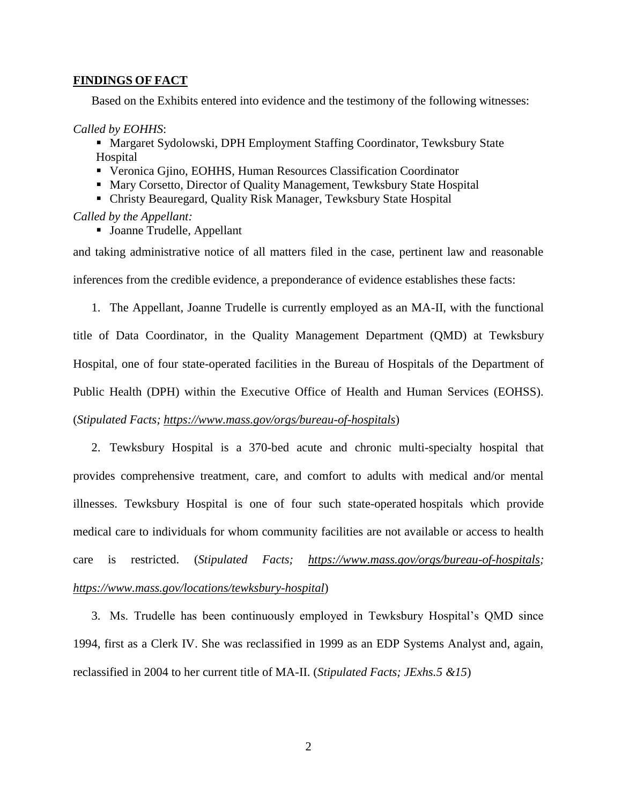# **FINDINGS OF FACT**

Based on the Exhibits entered into evidence and the testimony of the following witnesses:

#### *Called by EOHHS*:

- Margaret Sydolowski, DPH Employment Staffing Coordinator, Tewksbury State Hospital
- Veronica Gjino, EOHHS, Human Resources Classification Coordinator
- Mary Corsetto, Director of Quality Management, Tewksbury State Hospital
- Christy Beauregard, Quality Risk Manager, Tewksbury State Hospital

#### *Called by the Appellant:*

Joanne Trudelle, Appellant

and taking administrative notice of all matters filed in the case, pertinent law and reasonable inferences from the credible evidence, a preponderance of evidence establishes these facts:

1. The Appellant, Joanne Trudelle is currently employed as an MA-II, with the functional title of Data Coordinator, in the Quality Management Department (QMD) at Tewksbury Hospital, one of four state-operated facilities in the Bureau of Hospitals of the Department of Public Health (DPH) within the Executive Office of Health and Human Services (EOHSS). (*Stipulated Facts;<https://www.mass.gov/orgs/bureau-of-hospitals>*)

2. Tewksbury Hospital is a 370-bed acute and chronic multi-specialty hospital that provides comprehensive treatment, care, and comfort to adults with medical and/or mental illnesses. Tewksbury Hospital is one of four such state-operated hospitals which provide medical care to individuals for whom community facilities are not available or access to health care is restricted. (*Stipulated Facts; [https://www.mass.gov/orgs/bureau-of-hospitals;](https://www.mass.gov/orgs/bureau-of-hospitals) <https://www.mass.gov/locations/tewksbury-hospital>*)

3. Ms. Trudelle has been continuously employed in Tewksbury Hospital's QMD since 1994, first as a Clerk IV. She was reclassified in 1999 as an EDP Systems Analyst and, again, reclassified in 2004 to her current title of MA-II. (*Stipulated Facts; JExhs.5 &15*)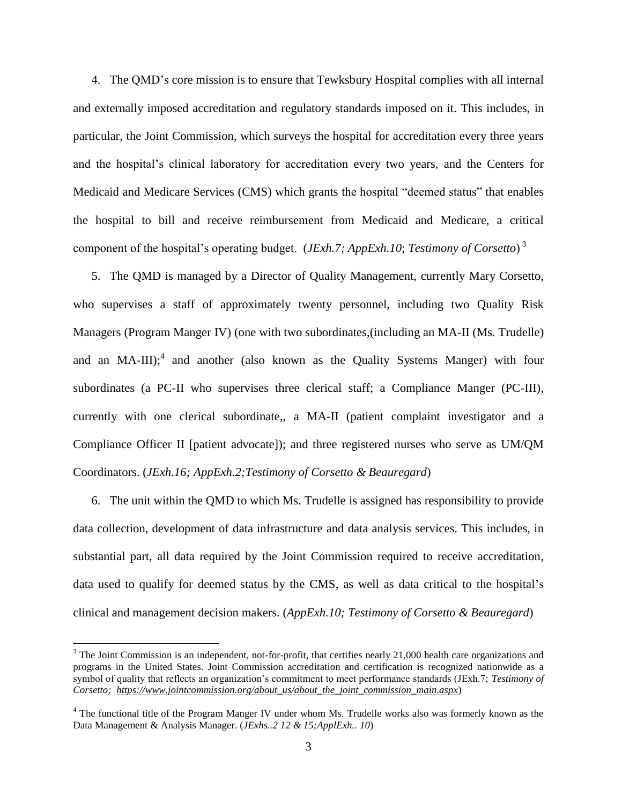4. The QMD's core mission is to ensure that Tewksbury Hospital complies with all internal and externally imposed accreditation and regulatory standards imposed on it. This includes, in particular, the Joint Commission, which surveys the hospital for accreditation every three years and the hospital's clinical laboratory for accreditation every two years, and the Centers for Medicaid and Medicare Services (CMS) which grants the hospital "deemed status" that enables the hospital to bill and receive reimbursement from Medicaid and Medicare, a critical component of the hospital's operating budget. (*JExh.7; AppExh.10*; *Testimony of Corsetto*) 3

5. The QMD is managed by a Director of Quality Management, currently Mary Corsetto, who supervises a staff of approximately twenty personnel, including two Quality Risk Managers (Program Manger IV) (one with two subordinates,(including an MA-II (Ms. Trudelle) and an MA-III);<sup>4</sup> and another (also known as the Quality Systems Manger) with four subordinates (a PC-II who supervises three clerical staff; a Compliance Manger (PC-III), currently with one clerical subordinate,, a MA-II (patient complaint investigator and a Compliance Officer II [patient advocate]); and three registered nurses who serve as UM/QM Coordinators. (*JExh.16; AppExh.2;Testimony of Corsetto & Beauregard*)

6. The unit within the QMD to which Ms. Trudelle is assigned has responsibility to provide data collection, development of data infrastructure and data analysis services. This includes, in substantial part, all data required by the Joint Commission required to receive accreditation, data used to qualify for deemed status by the CMS, as well as data critical to the hospital's clinical and management decision makers. (*AppExh.10; Testimony of Corsetto & Beauregard*)

 $\overline{a}$ 

 $3$  The Joint Commission is an independent, not-for-profit, that certifies nearly 21,000 health care organizations and programs in the United States. Joint Commission accreditation and certification is recognized nationwide as a symbol of quality that reflects an organization's commitment to meet performance standards (JExh.7; *Testimony of Corsetto; [https://www.jointcommission.org/about\\_us/about\\_the\\_joint\\_commission\\_main.aspx](https://www.jointcommission.org/about_us/about_the_joint_commission_main.aspx)*)

<sup>&</sup>lt;sup>4</sup> The functional title of the Program Manger IV under whom Ms. Trudelle works also was formerly known as the Data Management & Analysis Manager. (*JExhs..2 12 & 15;ApplExh.. 10*)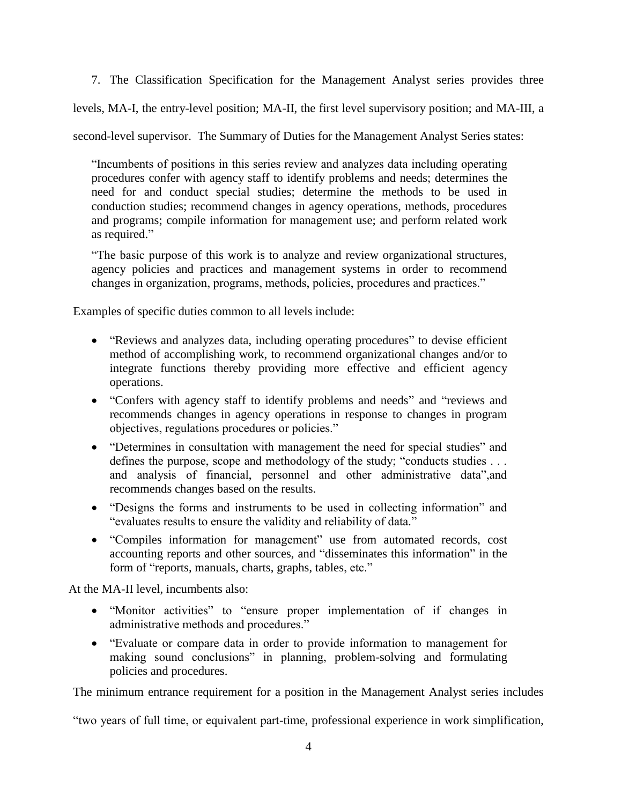7. The Classification Specification for the Management Analyst series provides three

levels, MA-I, the entry-level position; MA-II, the first level supervisory position; and MA-III, a

second-level supervisor. The Summary of Duties for the Management Analyst Series states:

"Incumbents of positions in this series review and analyzes data including operating procedures confer with agency staff to identify problems and needs; determines the need for and conduct special studies; determine the methods to be used in conduction studies; recommend changes in agency operations, methods, procedures and programs; compile information for management use; and perform related work as required."

"The basic purpose of this work is to analyze and review organizational structures, agency policies and practices and management systems in order to recommend changes in organization, programs, methods, policies, procedures and practices."

Examples of specific duties common to all levels include:

- "Reviews and analyzes data, including operating procedures" to devise efficient method of accomplishing work, to recommend organizational changes and/or to integrate functions thereby providing more effective and efficient agency operations.
- "Confers with agency staff to identify problems and needs" and "reviews and recommends changes in agency operations in response to changes in program objectives, regulations procedures or policies."
- "Determines in consultation with management the need for special studies" and defines the purpose, scope and methodology of the study; "conducts studies . . . and analysis of financial, personnel and other administrative data",and recommends changes based on the results.
- "Designs the forms and instruments to be used in collecting information" and "evaluates results to ensure the validity and reliability of data."
- "Compiles information for management" use from automated records, cost accounting reports and other sources, and "disseminates this information" in the form of "reports, manuals, charts, graphs, tables, etc."

At the MA-II level, incumbents also:

- "Monitor activities" to "ensure proper implementation of if changes in administrative methods and procedures."
- "Evaluate or compare data in order to provide information to management for making sound conclusions" in planning, problem-solving and formulating policies and procedures.

The minimum entrance requirement for a position in the Management Analyst series includes

"two years of full time, or equivalent part-time, professional experience in work simplification,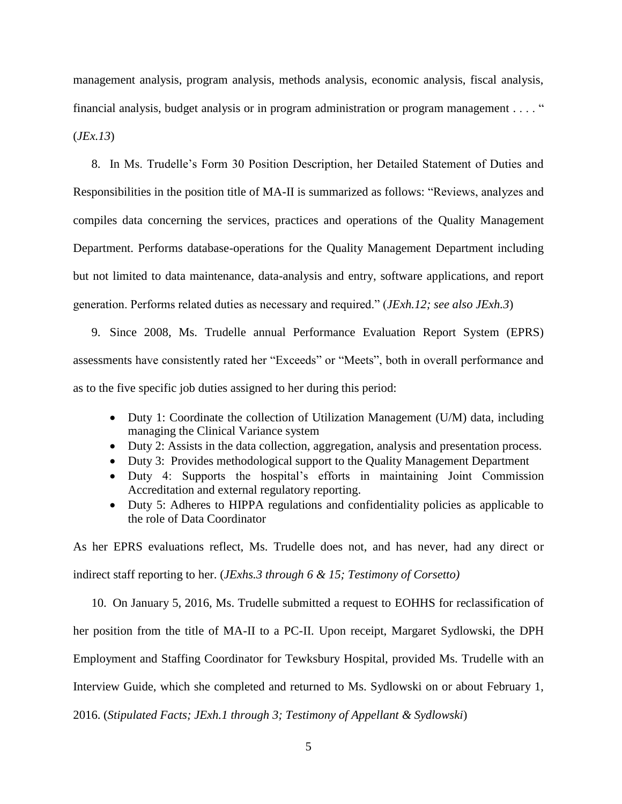management analysis, program analysis, methods analysis, economic analysis, fiscal analysis, financial analysis, budget analysis or in program administration or program management . . . . " (*JEx.13*)

8. In Ms. Trudelle's Form 30 Position Description, her Detailed Statement of Duties and Responsibilities in the position title of MA-II is summarized as follows: "Reviews, analyzes and compiles data concerning the services, practices and operations of the Quality Management Department. Performs database-operations for the Quality Management Department including but not limited to data maintenance, data-analysis and entry, software applications, and report generation. Performs related duties as necessary and required." (*JExh.12; see also JExh.3*)

9. Since 2008, Ms. Trudelle annual Performance Evaluation Report System (EPRS) assessments have consistently rated her "Exceeds" or "Meets", both in overall performance and as to the five specific job duties assigned to her during this period:

- Duty 1: Coordinate the collection of Utilization Management (U/M) data, including managing the Clinical Variance system
- Duty 2: Assists in the data collection, aggregation, analysis and presentation process.
- Duty 3: Provides methodological support to the Quality Management Department
- Duty 4: Supports the hospital's efforts in maintaining Joint Commission Accreditation and external regulatory reporting.
- Duty 5: Adheres to HIPPA regulations and confidentiality policies as applicable to the role of Data Coordinator

As her EPRS evaluations reflect, Ms. Trudelle does not, and has never, had any direct or indirect staff reporting to her. (*JExhs.3 through 6 & 15; Testimony of Corsetto)*

10. On January 5, 2016, Ms. Trudelle submitted a request to EOHHS for reclassification of her position from the title of MA-II to a PC-II. Upon receipt, Margaret Sydlowski, the DPH Employment and Staffing Coordinator for Tewksbury Hospital, provided Ms. Trudelle with an Interview Guide, which she completed and returned to Ms. Sydlowski on or about February 1, 2016. (*Stipulated Facts; JExh.1 through 3; Testimony of Appellant & Sydlowski*)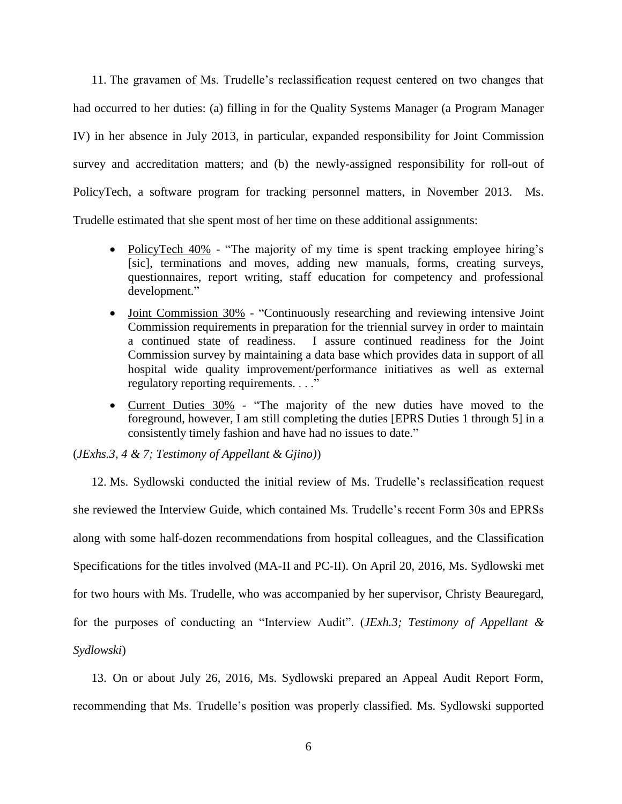11. The gravamen of Ms. Trudelle's reclassification request centered on two changes that had occurred to her duties: (a) filling in for the Quality Systems Manager (a Program Manager IV) in her absence in July 2013, in particular, expanded responsibility for Joint Commission survey and accreditation matters; and (b) the newly-assigned responsibility for roll-out of PolicyTech, a software program for tracking personnel matters, in November 2013. Ms. Trudelle estimated that she spent most of her time on these additional assignments:

- PolicyTech 40% "The majority of my time is spent tracking employee hiring's [sic], terminations and moves, adding new manuals, forms, creating surveys, questionnaires, report writing, staff education for competency and professional development."
- Joint Commission 30% "Continuously researching and reviewing intensive Joint Commission requirements in preparation for the triennial survey in order to maintain a continued state of readiness. I assure continued readiness for the Joint Commission survey by maintaining a data base which provides data in support of all hospital wide quality improvement/performance initiatives as well as external regulatory reporting requirements. . . ."
- Current Duties 30% "The majority of the new duties have moved to the foreground, however, I am still completing the duties [EPRS Duties 1 through 5] in a consistently timely fashion and have had no issues to date."

# (*JExhs.3, 4 & 7; Testimony of Appellant & Gjino)*)

12. Ms. Sydlowski conducted the initial review of Ms. Trudelle's reclassification request she reviewed the Interview Guide, which contained Ms. Trudelle's recent Form 30s and EPRSs along with some half-dozen recommendations from hospital colleagues, and the Classification Specifications for the titles involved (MA-II and PC-II). On April 20, 2016, Ms. Sydlowski met for two hours with Ms. Trudelle, who was accompanied by her supervisor, Christy Beauregard, for the purposes of conducting an "Interview Audit". (*JExh.3; Testimony of Appellant & Sydlowski*)

13. On or about July 26, 2016, Ms. Sydlowski prepared an Appeal Audit Report Form, recommending that Ms. Trudelle's position was properly classified. Ms. Sydlowski supported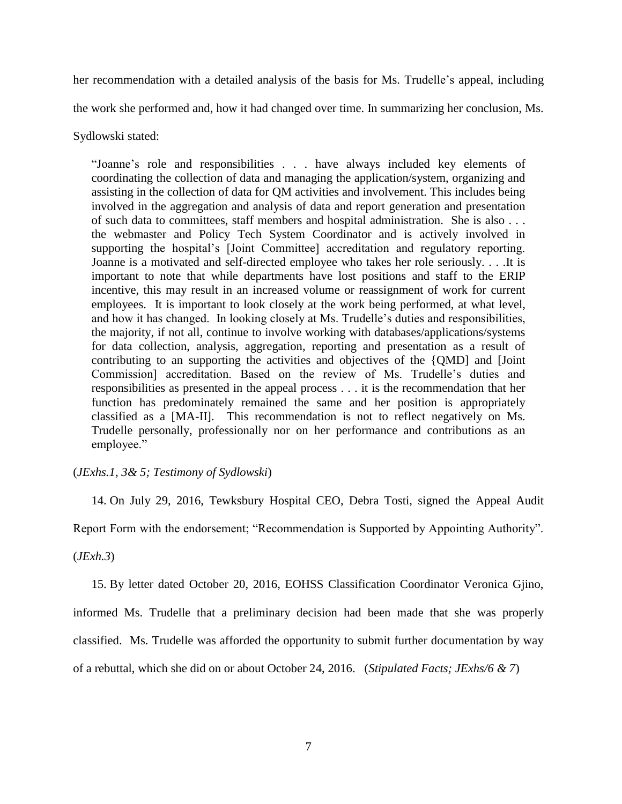her recommendation with a detailed analysis of the basis for Ms. Trudelle's appeal, including the work she performed and, how it had changed over time. In summarizing her conclusion, Ms.

Sydlowski stated:

"Joanne's role and responsibilities . . . have always included key elements of coordinating the collection of data and managing the application/system, organizing and assisting in the collection of data for QM activities and involvement. This includes being involved in the aggregation and analysis of data and report generation and presentation of such data to committees, staff members and hospital administration. She is also . . . the webmaster and Policy Tech System Coordinator and is actively involved in supporting the hospital's [Joint Committee] accreditation and regulatory reporting. Joanne is a motivated and self-directed employee who takes her role seriously. . . .It is important to note that while departments have lost positions and staff to the ERIP incentive, this may result in an increased volume or reassignment of work for current employees. It is important to look closely at the work being performed, at what level, and how it has changed. In looking closely at Ms. Trudelle's duties and responsibilities, the majority, if not all, continue to involve working with databases/applications/systems for data collection, analysis, aggregation, reporting and presentation as a result of contributing to an supporting the activities and objectives of the {QMD] and [Joint Commission] accreditation. Based on the review of Ms. Trudelle's duties and responsibilities as presented in the appeal process . . . it is the recommendation that her function has predominately remained the same and her position is appropriately classified as a [MA-II]. This recommendation is not to reflect negatively on Ms. Trudelle personally, professionally nor on her performance and contributions as an employee."

# (*JExhs.1, 3& 5; Testimony of Sydlowski*)

14. On July 29, 2016, Tewksbury Hospital CEO, Debra Tosti, signed the Appeal Audit

Report Form with the endorsement; "Recommendation is Supported by Appointing Authority".

(*JExh.3*)

15. By letter dated October 20, 2016, EOHSS Classification Coordinator Veronica Gjino,

informed Ms. Trudelle that a preliminary decision had been made that she was properly

classified. Ms. Trudelle was afforded the opportunity to submit further documentation by way

of a rebuttal, which she did on or about October 24, 2016. (*Stipulated Facts; JExhs/6 & 7*)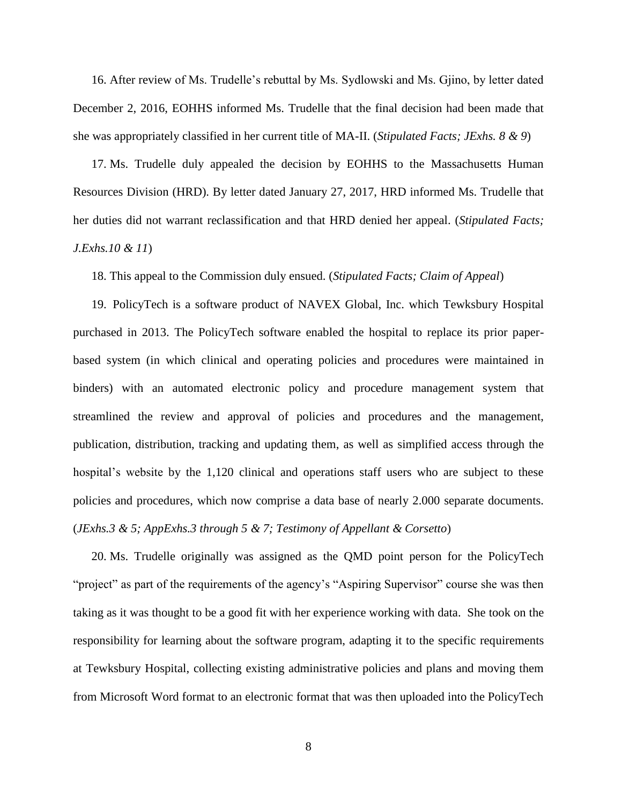16. After review of Ms. Trudelle's rebuttal by Ms. Sydlowski and Ms. Gjino, by letter dated December 2, 2016, EOHHS informed Ms. Trudelle that the final decision had been made that she was appropriately classified in her current title of MA-II. (*Stipulated Facts; JExhs. 8 & 9*)

17. Ms. Trudelle duly appealed the decision by EOHHS to the Massachusetts Human Resources Division (HRD). By letter dated January 27, 2017, HRD informed Ms. Trudelle that her duties did not warrant reclassification and that HRD denied her appeal. (*Stipulated Facts; J.Exhs.10 & 11*)

18. This appeal to the Commission duly ensued. (*Stipulated Facts; Claim of Appeal*)

19. PolicyTech is a software product of NAVEX Global, Inc. which Tewksbury Hospital purchased in 2013. The PolicyTech software enabled the hospital to replace its prior paperbased system (in which clinical and operating policies and procedures were maintained in binders) with an automated electronic policy and procedure management system that streamlined the review and approval of policies and procedures and the management, publication, distribution, tracking and updating them, as well as simplified access through the hospital's website by the 1,120 clinical and operations staff users who are subject to these policies and procedures, which now comprise a data base of nearly 2.000 separate documents. (*JExhs.3 & 5; AppExhs.3 through 5 & 7; Testimony of Appellant & Corsetto*)

20. Ms. Trudelle originally was assigned as the QMD point person for the PolicyTech "project" as part of the requirements of the agency's "Aspiring Supervisor" course she was then taking as it was thought to be a good fit with her experience working with data. She took on the responsibility for learning about the software program, adapting it to the specific requirements at Tewksbury Hospital, collecting existing administrative policies and plans and moving them from Microsoft Word format to an electronic format that was then uploaded into the PolicyTech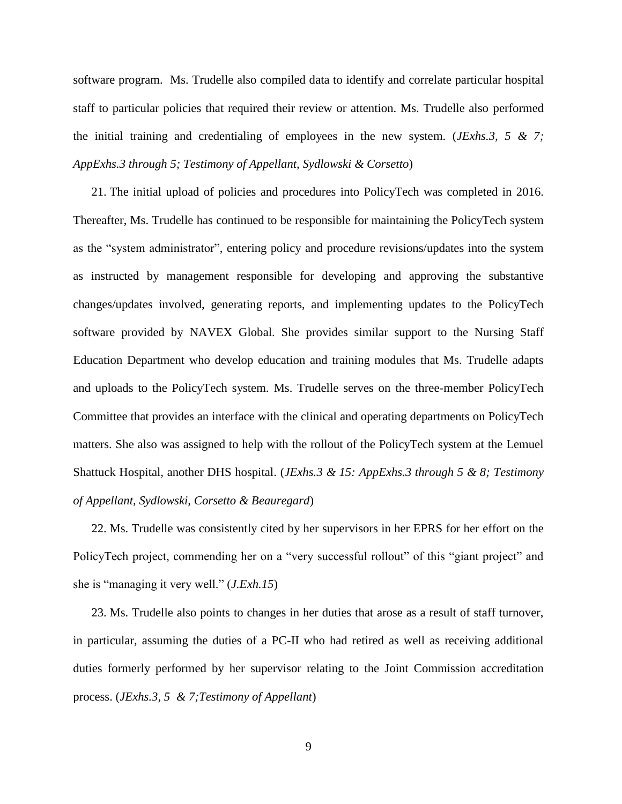software program. Ms. Trudelle also compiled data to identify and correlate particular hospital staff to particular policies that required their review or attention. Ms. Trudelle also performed the initial training and credentialing of employees in the new system. (*JExhs.3, 5 & 7; AppExhs.3 through 5; Testimony of Appellant, Sydlowski & Corsetto*)

21. The initial upload of policies and procedures into PolicyTech was completed in 2016. Thereafter, Ms. Trudelle has continued to be responsible for maintaining the PolicyTech system as the "system administrator", entering policy and procedure revisions/updates into the system as instructed by management responsible for developing and approving the substantive changes/updates involved, generating reports, and implementing updates to the PolicyTech software provided by NAVEX Global. She provides similar support to the Nursing Staff Education Department who develop education and training modules that Ms. Trudelle adapts and uploads to the PolicyTech system. Ms. Trudelle serves on the three-member PolicyTech Committee that provides an interface with the clinical and operating departments on PolicyTech matters. She also was assigned to help with the rollout of the PolicyTech system at the Lemuel Shattuck Hospital, another DHS hospital. (*JExhs.3 & 15: AppExhs.3 through 5 & 8; Testimony of Appellant, Sydlowski, Corsetto & Beauregard*)

22. Ms. Trudelle was consistently cited by her supervisors in her EPRS for her effort on the PolicyTech project, commending her on a "very successful rollout" of this "giant project" and she is "managing it very well." (*J.Exh.15*)

23. Ms. Trudelle also points to changes in her duties that arose as a result of staff turnover, in particular, assuming the duties of a PC-II who had retired as well as receiving additional duties formerly performed by her supervisor relating to the Joint Commission accreditation process. (*JExhs.3, 5 & 7;Testimony of Appellant*)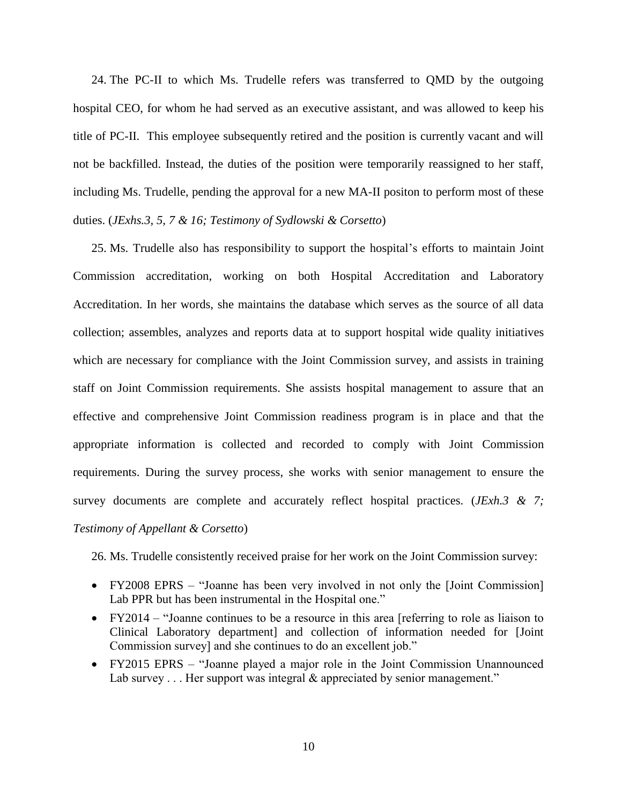24. The PC-II to which Ms. Trudelle refers was transferred to QMD by the outgoing hospital CEO, for whom he had served as an executive assistant, and was allowed to keep his title of PC-II. This employee subsequently retired and the position is currently vacant and will not be backfilled. Instead, the duties of the position were temporarily reassigned to her staff, including Ms. Trudelle, pending the approval for a new MA-II positon to perform most of these duties. (*JExhs.3, 5, 7 & 16; Testimony of Sydlowski & Corsetto*)

25. Ms. Trudelle also has responsibility to support the hospital's efforts to maintain Joint Commission accreditation, working on both Hospital Accreditation and Laboratory Accreditation. In her words, she maintains the database which serves as the source of all data collection; assembles, analyzes and reports data at to support hospital wide quality initiatives which are necessary for compliance with the Joint Commission survey, and assists in training staff on Joint Commission requirements. She assists hospital management to assure that an effective and comprehensive Joint Commission readiness program is in place and that the appropriate information is collected and recorded to comply with Joint Commission requirements. During the survey process, she works with senior management to ensure the survey documents are complete and accurately reflect hospital practices. (*JExh.3 & 7; Testimony of Appellant & Corsetto*)

26. Ms. Trudelle consistently received praise for her work on the Joint Commission survey:

- FY2008 EPRS "Joanne has been very involved in not only the [Joint Commission] Lab PPR but has been instrumental in the Hospital one."
- FY2014 "Joanne continues to be a resource in this area [referring to role as liaison to Clinical Laboratory department] and collection of information needed for [Joint Commission survey] and she continues to do an excellent job."
- FY2015 EPRS "Joanne played a major role in the Joint Commission Unannounced Lab survey . . . Her support was integral & appreciated by senior management."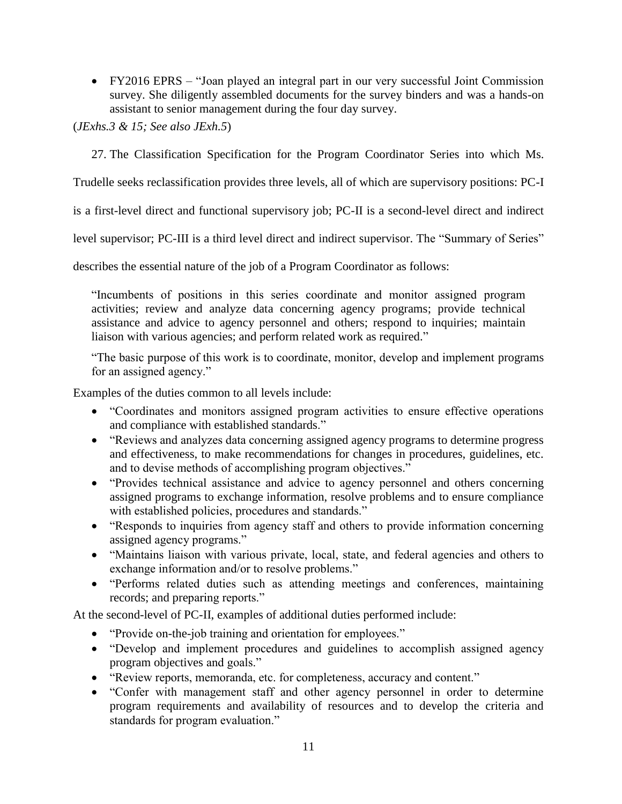FY2016 EPRS – "Joan played an integral part in our very successful Joint Commission survey. She diligently assembled documents for the survey binders and was a hands-on assistant to senior management during the four day survey.

(*JExhs.3 & 15; See also JExh.5*)

27. The Classification Specification for the Program Coordinator Series into which Ms.

Trudelle seeks reclassification provides three levels, all of which are supervisory positions: PC-I

is a first-level direct and functional supervisory job; PC-II is a second-level direct and indirect

level supervisor; PC-III is a third level direct and indirect supervisor. The "Summary of Series"

describes the essential nature of the job of a Program Coordinator as follows:

"Incumbents of positions in this series coordinate and monitor assigned program activities; review and analyze data concerning agency programs; provide technical assistance and advice to agency personnel and others; respond to inquiries; maintain liaison with various agencies; and perform related work as required."

"The basic purpose of this work is to coordinate, monitor, develop and implement programs for an assigned agency."

Examples of the duties common to all levels include:

- "Coordinates and monitors assigned program activities to ensure effective operations and compliance with established standards."
- "Reviews and analyzes data concerning assigned agency programs to determine progress and effectiveness, to make recommendations for changes in procedures, guidelines, etc. and to devise methods of accomplishing program objectives."
- "Provides technical assistance and advice to agency personnel and others concerning assigned programs to exchange information, resolve problems and to ensure compliance with established policies, procedures and standards."
- "Responds to inquiries from agency staff and others to provide information concerning assigned agency programs."
- "Maintains liaison with various private, local, state, and federal agencies and others to exchange information and/or to resolve problems."
- "Performs related duties such as attending meetings and conferences, maintaining records; and preparing reports."

At the second-level of PC-II, examples of additional duties performed include:

- "Provide on-the-job training and orientation for employees."
- "Develop and implement procedures and guidelines to accomplish assigned agency program objectives and goals."
- "Review reports, memoranda, etc. for completeness, accuracy and content."
- "Confer with management staff and other agency personnel in order to determine program requirements and availability of resources and to develop the criteria and standards for program evaluation."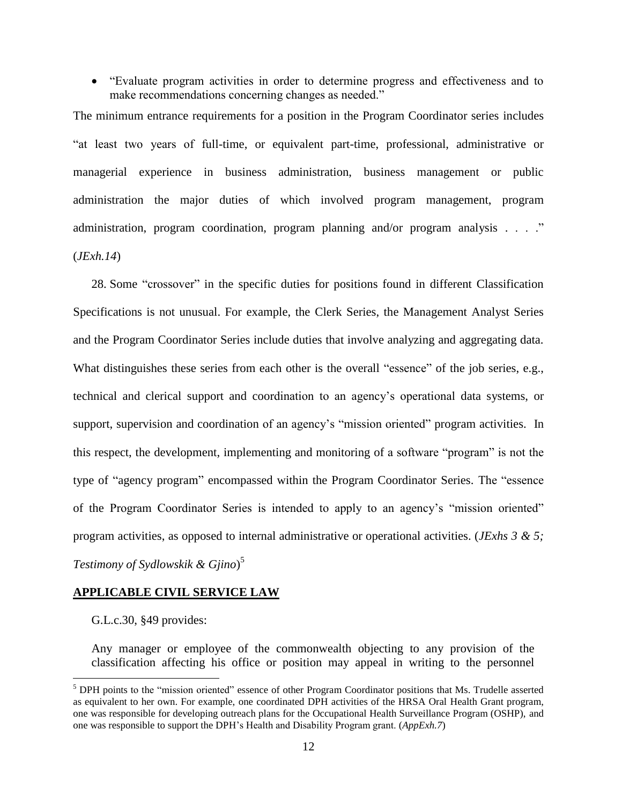"Evaluate program activities in order to determine progress and effectiveness and to make recommendations concerning changes as needed."

The minimum entrance requirements for a position in the Program Coordinator series includes "at least two years of full-time, or equivalent part-time, professional, administrative or managerial experience in business administration, business management or public administration the major duties of which involved program management, program administration, program coordination, program planning and/or program analysis . . . ." (*JExh.14*)

28. Some "crossover" in the specific duties for positions found in different Classification Specifications is not unusual. For example, the Clerk Series, the Management Analyst Series and the Program Coordinator Series include duties that involve analyzing and aggregating data. What distinguishes these series from each other is the overall "essence" of the job series, e.g., technical and clerical support and coordination to an agency's operational data systems, or support, supervision and coordination of an agency's "mission oriented" program activities. In this respect, the development, implementing and monitoring of a software "program" is not the type of "agency program" encompassed within the Program Coordinator Series. The "essence of the Program Coordinator Series is intended to apply to an agency's "mission oriented" program activities, as opposed to internal administrative or operational activities. (*JExhs 3 & 5; Testimony of Sydlowskik & Gjino*) 5

#### **APPLICABLE CIVIL SERVICE LAW**

G.L.c.30, §49 provides:

 $\overline{a}$ 

Any manager or employee of the commonwealth objecting to any provision of the classification affecting his office or position may appeal in writing to the personnel

<sup>&</sup>lt;sup>5</sup> DPH points to the "mission oriented" essence of other Program Coordinator positions that Ms. Trudelle asserted as equivalent to her own. For example, one coordinated DPH activities of the HRSA Oral Health Grant program, one was responsible for developing outreach plans for the Occupational Health Surveillance Program (OSHP), and one was responsible to support the DPH's Health and Disability Program grant. (*AppExh.7*)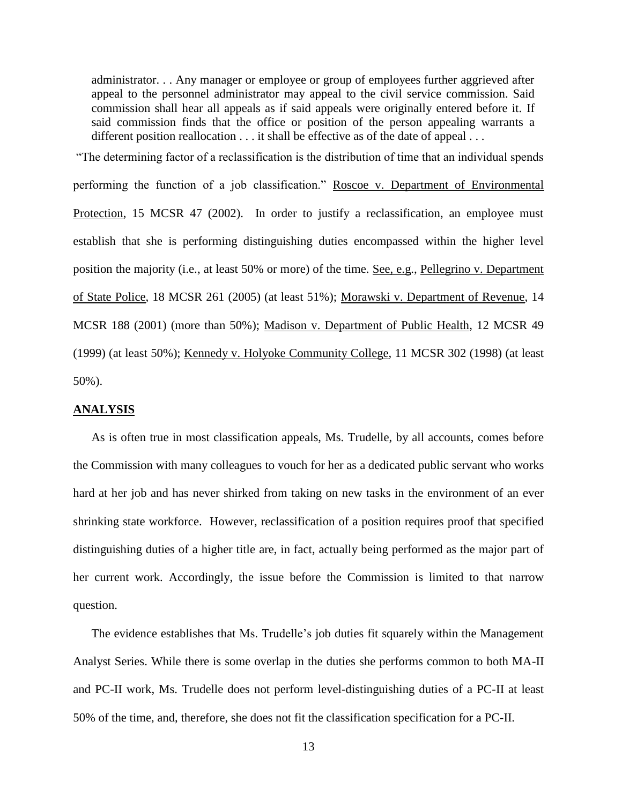administrator. . . Any manager or employee or group of employees further aggrieved after appeal to the personnel administrator may appeal to the civil service commission. Said commission shall hear all appeals as if said appeals were originally entered before it. If said commission finds that the office or position of the person appealing warrants a different position reallocation . . . it shall be effective as of the date of appeal . . .

"The determining factor of a reclassification is the distribution of time that an individual spends performing the function of a job classification." Roscoe v. Department of Environmental Protection, 15 MCSR 47 (2002). In order to justify a reclassification, an employee must establish that she is performing distinguishing duties encompassed within the higher level position the majority (i.e., at least 50% or more) of the time. See, e.g., Pellegrino v. Department of State Police, 18 MCSR 261 (2005) (at least 51%); Morawski v. Department of Revenue, 14 MCSR 188 (2001) (more than 50%); Madison v. Department of Public Health, 12 MCSR 49 (1999) (at least 50%); Kennedy v. Holyoke Community College, 11 MCSR 302 (1998) (at least 50%).

#### **ANALYSIS**

As is often true in most classification appeals, Ms. Trudelle, by all accounts, comes before the Commission with many colleagues to vouch for her as a dedicated public servant who works hard at her job and has never shirked from taking on new tasks in the environment of an ever shrinking state workforce. However, reclassification of a position requires proof that specified distinguishing duties of a higher title are, in fact, actually being performed as the major part of her current work. Accordingly, the issue before the Commission is limited to that narrow question.

The evidence establishes that Ms. Trudelle's job duties fit squarely within the Management Analyst Series. While there is some overlap in the duties she performs common to both MA-II and PC-II work, Ms. Trudelle does not perform level-distinguishing duties of a PC-II at least 50% of the time, and, therefore, she does not fit the classification specification for a PC-II.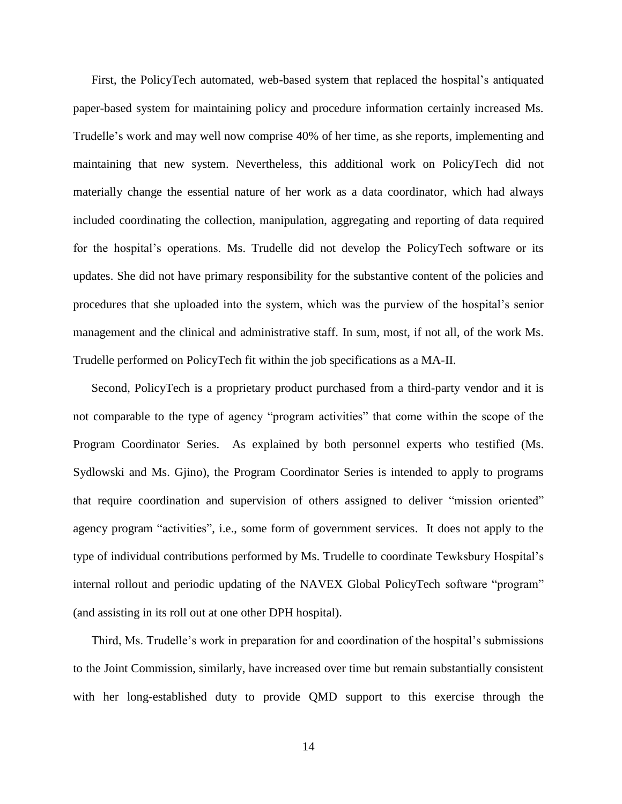First, the PolicyTech automated, web-based system that replaced the hospital's antiquated paper-based system for maintaining policy and procedure information certainly increased Ms. Trudelle's work and may well now comprise 40% of her time, as she reports, implementing and maintaining that new system. Nevertheless, this additional work on PolicyTech did not materially change the essential nature of her work as a data coordinator, which had always included coordinating the collection, manipulation, aggregating and reporting of data required for the hospital's operations. Ms. Trudelle did not develop the PolicyTech software or its updates. She did not have primary responsibility for the substantive content of the policies and procedures that she uploaded into the system, which was the purview of the hospital's senior management and the clinical and administrative staff. In sum, most, if not all, of the work Ms. Trudelle performed on PolicyTech fit within the job specifications as a MA-II.

Second, PolicyTech is a proprietary product purchased from a third-party vendor and it is not comparable to the type of agency "program activities" that come within the scope of the Program Coordinator Series. As explained by both personnel experts who testified (Ms. Sydlowski and Ms. Gjino), the Program Coordinator Series is intended to apply to programs that require coordination and supervision of others assigned to deliver "mission oriented" agency program "activities", i.e., some form of government services. It does not apply to the type of individual contributions performed by Ms. Trudelle to coordinate Tewksbury Hospital's internal rollout and periodic updating of the NAVEX Global PolicyTech software "program" (and assisting in its roll out at one other DPH hospital).

Third, Ms. Trudelle's work in preparation for and coordination of the hospital's submissions to the Joint Commission, similarly, have increased over time but remain substantially consistent with her long-established duty to provide QMD support to this exercise through the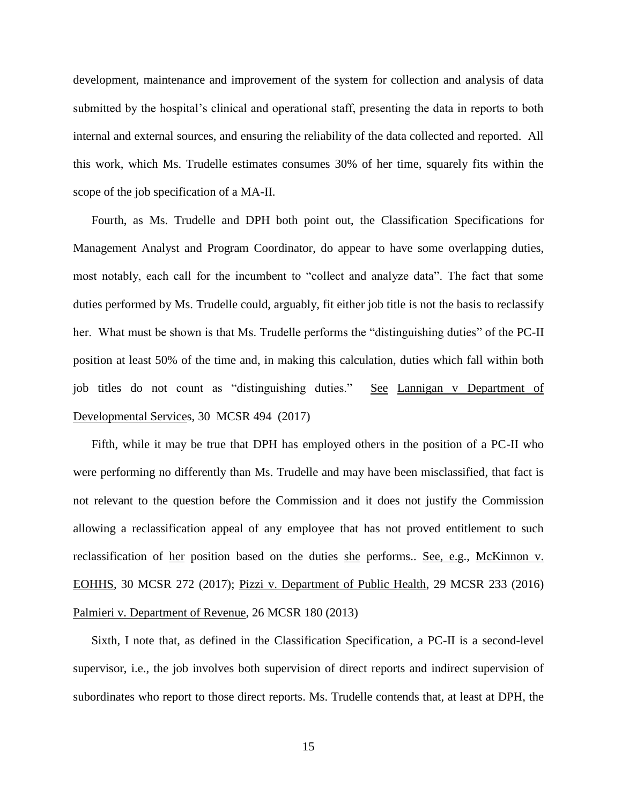development, maintenance and improvement of the system for collection and analysis of data submitted by the hospital's clinical and operational staff, presenting the data in reports to both internal and external sources, and ensuring the reliability of the data collected and reported. All this work, which Ms. Trudelle estimates consumes 30% of her time, squarely fits within the scope of the job specification of a MA-II.

Fourth, as Ms. Trudelle and DPH both point out, the Classification Specifications for Management Analyst and Program Coordinator, do appear to have some overlapping duties, most notably, each call for the incumbent to "collect and analyze data". The fact that some duties performed by Ms. Trudelle could, arguably, fit either job title is not the basis to reclassify her. What must be shown is that Ms. Trudelle performs the "distinguishing duties" of the PC-II position at least 50% of the time and, in making this calculation, duties which fall within both job titles do not count as "distinguishing duties." See Lannigan v Department of Developmental Services, 30 MCSR 494 (2017)

Fifth, while it may be true that DPH has employed others in the position of a PC-II who were performing no differently than Ms. Trudelle and may have been misclassified, that fact is not relevant to the question before the Commission and it does not justify the Commission allowing a reclassification appeal of any employee that has not proved entitlement to such reclassification of her position based on the duties she performs.. See, e.g., McKinnon v. EOHHS, 30 MCSR 272 (2017); Pizzi v. Department of Public Health, 29 MCSR 233 (2016) Palmieri v. Department of Revenue, 26 MCSR 180 (2013)

Sixth, I note that, as defined in the Classification Specification, a PC-II is a second-level supervisor, i.e., the job involves both supervision of direct reports and indirect supervision of subordinates who report to those direct reports. Ms. Trudelle contends that, at least at DPH, the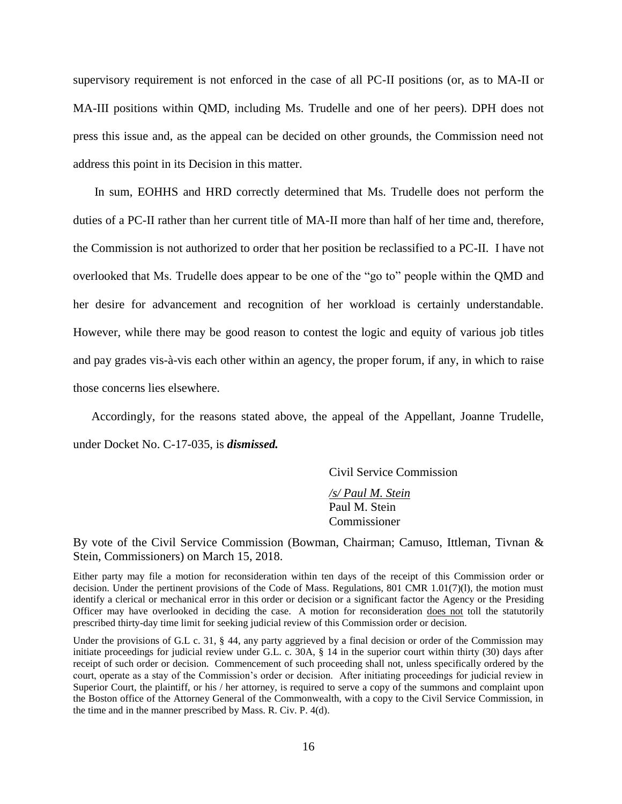supervisory requirement is not enforced in the case of all PC-II positions (or, as to MA-II or MA-III positions within QMD, including Ms. Trudelle and one of her peers). DPH does not press this issue and, as the appeal can be decided on other grounds, the Commission need not address this point in its Decision in this matter.

In sum, EOHHS and HRD correctly determined that Ms. Trudelle does not perform the duties of a PC-II rather than her current title of MA-II more than half of her time and, therefore, the Commission is not authorized to order that her position be reclassified to a PC-II. I have not overlooked that Ms. Trudelle does appear to be one of the "go to" people within the QMD and her desire for advancement and recognition of her workload is certainly understandable. However, while there may be good reason to contest the logic and equity of various job titles and pay grades vis-à-vis each other within an agency, the proper forum, if any, in which to raise those concerns lies elsewhere.

Accordingly, for the reasons stated above, the appeal of the Appellant, Joanne Trudelle, under Docket No. C-17-035, is *dismissed.*

Civil Service Commission

*/s/ Paul M. Stein* Paul M. Stein Commissioner

By vote of the Civil Service Commission (Bowman, Chairman; Camuso, Ittleman, Tivnan & Stein, Commissioners) on March 15, 2018.

Either party may file a motion for reconsideration within ten days of the receipt of this Commission order or decision. Under the pertinent provisions of the Code of Mass. Regulations, 801 CMR 1.01(7)(1), the motion must identify a clerical or mechanical error in this order or decision or a significant factor the Agency or the Presiding Officer may have overlooked in deciding the case. A motion for reconsideration does not toll the statutorily prescribed thirty-day time limit for seeking judicial review of this Commission order or decision.

Under the provisions of G.L c. 31, § 44, any party aggrieved by a final decision or order of the Commission may initiate proceedings for judicial review under G.L. c. 30A, § 14 in the superior court within thirty (30) days after receipt of such order or decision. Commencement of such proceeding shall not, unless specifically ordered by the court, operate as a stay of the Commission's order or decision. After initiating proceedings for judicial review in Superior Court, the plaintiff, or his / her attorney, is required to serve a copy of the summons and complaint upon the Boston office of the Attorney General of the Commonwealth, with a copy to the Civil Service Commission, in the time and in the manner prescribed by Mass. R. Civ. P. 4(d).